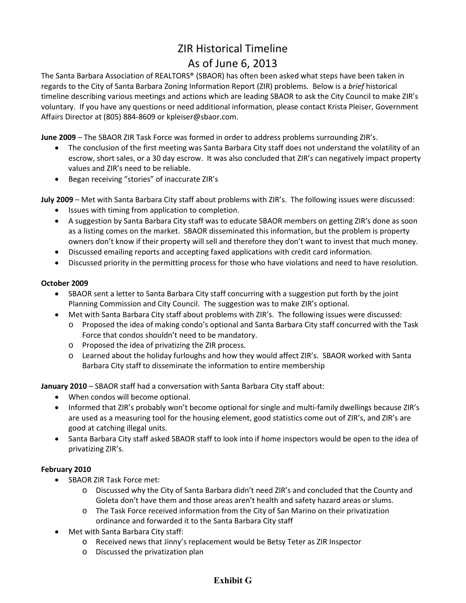# ZIR Historical Timeline As of June 6, 2013

The Santa Barbara Association of REALTORS® (SBAOR) has often been asked what steps have been taken in regards to the City of Santa Barbara Zoning Information Report (ZIR) problems. Below is a *brief* historical timeline describing various meetings and actions which are leading SBAOR to ask the City Council to make ZIR's voluntary. If you have any questions or need additional information, please contact Krista Pleiser, Government Affairs Director at (805) 884-8609 or kpleiser@sbaor.com.

**June 2009** – The SBAOR ZIR Task Force was formed in order to address problems surrounding ZIR's.

- The conclusion of the first meeting was Santa Barbara City staff does not understand the volatility of an escrow, short sales, or a 30 day escrow. It was also concluded that ZIR's can negatively impact property values and ZIR's need to be reliable.
- Began receiving "stories" of inaccurate ZIR's

**July 2009** – Met with Santa Barbara City staff about problems with ZIR's. The following issues were discussed:

- Issues with timing from application to completion.
- A suggestion by Santa Barbara City staff was to educate SBAOR members on getting ZIR's done as soon as a listing comes on the market. SBAOR disseminated this information, but the problem is property owners don't know if their property will sell and therefore they don't want to invest that much money.
- Discussed emailing reports and accepting faxed applications with credit card information.
- Discussed priority in the permitting process for those who have violations and need to have resolution.

#### **October 2009**

- SBAOR sent a letter to Santa Barbara City staff concurring with a suggestion put forth by the joint Planning Commission and City Council. The suggestion was to make ZIR's optional.
- Met with Santa Barbara City staff about problems with ZIR's. The following issues were discussed:
	- o Proposed the idea of making condo's optional and Santa Barbara City staff concurred with the Task Force that condos shouldn't need to be mandatory.
	- o Proposed the idea of privatizing the ZIR process.
	- o Learned about the holiday furloughs and how they would affect ZIR's. SBAOR worked with Santa Barbara City staff to disseminate the information to entire membership

**January 2010** – SBAOR staff had a conversation with Santa Barbara City staff about:

- When condos will become optional.
- Informed that ZIR's probably won't become optional for single and multi-family dwellings because ZIR's are used as a measuring tool for the housing element, good statistics come out of ZIR's, and ZIR's are good at catching illegal units.
- Santa Barbara City staff asked SBAOR staff to look into if home inspectors would be open to the idea of privatizing ZIR's.

## **February 2010**

- SBAOR ZIR Task Force met:
	- o Discussed why the City of Santa Barbara didn't need ZIR's and concluded that the County and Goleta don't have them and those areas aren't health and safety hazard areas or slums.
	- o The Task Force received information from the City of San Marino on their privatization ordinance and forwarded it to the Santa Barbara City staff
- Met with Santa Barbara City staff:
	- o Received news that Jinny's replacement would be Betsy Teter as ZIR Inspector
	- o Discussed the privatization plan

# **Exhibit G**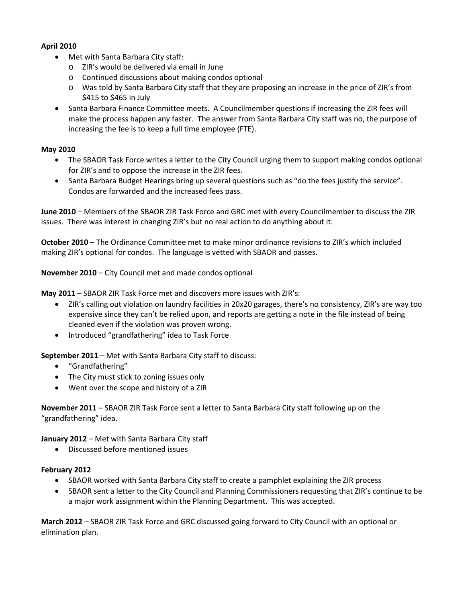## **April 2010**

- Met with Santa Barbara City staff:
	- o ZIR's would be delivered via email in June
	- o Continued discussions about making condos optional
	- o Was told by Santa Barbara City staff that they are proposing an increase in the price of ZIR's from \$415 to \$465 in July
- Santa Barbara Finance Committee meets. A Councilmember questions if increasing the ZIR fees will make the process happen any faster. The answer from Santa Barbara City staff was no, the purpose of increasing the fee is to keep a full time employee (FTE).

## **May 2010**

- The SBAOR Task Force writes a letter to the City Council urging them to support making condos optional for ZIR's and to oppose the increase in the ZIR fees.
- Santa Barbara Budget Hearings bring up several questions such as "do the fees justify the service". Condos are forwarded and the increased fees pass.

**June 2010** – Members of the SBAOR ZIR Task Force and GRC met with every Councilmember to discuss the ZIR issues. There was interest in changing ZIR's but no real action to do anything about it.

**October 2010** – The Ordinance Committee met to make minor ordinance revisions to ZIR's which included making ZIR's optional for condos. The language is vetted with SBAOR and passes.

**November 2010** – City Council met and made condos optional

**May 2011** – SBAOR ZIR Task Force met and discovers more issues with ZIR's:

- ZIR's calling out violation on laundry facilities in 20x20 garages, there's no consistency, ZIR's are way too expensive since they can't be relied upon, and reports are getting a note in the file instead of being cleaned even if the violation was proven wrong.
- Introduced "grandfathering" idea to Task Force

**September 2011** – Met with Santa Barbara City staff to discuss:

- "Grandfathering"
- The City must stick to zoning issues only
- Went over the scope and history of a ZIR

**November 2011** – SBAOR ZIR Task Force sent a letter to Santa Barbara City staff following up on the "grandfathering" idea.

**January 2012** – Met with Santa Barbara City staff

• Discussed before mentioned issues

## **February 2012**

- SBAOR worked with Santa Barbara City staff to create a pamphlet explaining the ZIR process
- SBAOR sent a letter to the City Council and Planning Commissioners requesting that ZIR's continue to be a major work assignment within the Planning Department. This was accepted.

**March 2012** – SBAOR ZIR Task Force and GRC discussed going forward to City Council with an optional or elimination plan.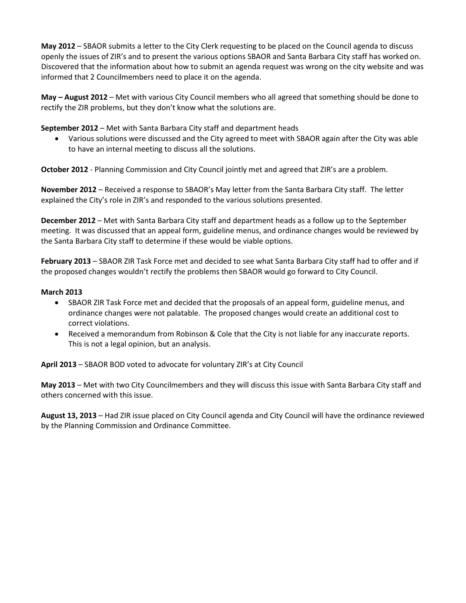**May 2012** – SBAOR submits a letter to the City Clerk requesting to be placed on the Council agenda to discuss openly the issues of ZIR's and to present the various options SBAOR and Santa Barbara City staff has worked on. Discovered that the information about how to submit an agenda request was wrong on the city website and was informed that 2 Councilmembers need to place it on the agenda.

**May – August 2012** – Met with various City Council members who all agreed that something should be done to rectify the ZIR problems, but they don't know what the solutions are.

**September 2012** – Met with Santa Barbara City staff and department heads

• Various solutions were discussed and the City agreed to meet with SBAOR again after the City was able to have an internal meeting to discuss all the solutions.

**October 2012** - Planning Commission and City Council jointly met and agreed that ZIR's are a problem.

**November 2012** – Received a response to SBAOR's May letter from the Santa Barbara City staff. The letter explained the City's role in ZIR's and responded to the various solutions presented.

**December 2012** – Met with Santa Barbara City staff and department heads as a follow up to the September meeting. It was discussed that an appeal form, guideline menus, and ordinance changes would be reviewed by the Santa Barbara City staff to determine if these would be viable options.

**February 2013** – SBAOR ZIR Task Force met and decided to see what Santa Barbara City staff had to offer and if the proposed changes wouldn't rectify the problems then SBAOR would go forward to City Council.

#### **March 2013**

- SBAOR ZIR Task Force met and decided that the proposals of an appeal form, guideline menus, and ordinance changes were not palatable. The proposed changes would create an additional cost to correct violations.
- Received a memorandum from Robinson & Cole that the City is not liable for any inaccurate reports. This is not a legal opinion, but an analysis.

**April 2013** – SBAOR BOD voted to advocate for voluntary ZIR's at City Council

**May 2013** – Met with two City Councilmembers and they will discuss this issue with Santa Barbara City staff and others concerned with this issue.

**August 13, 2013** – Had ZIR issue placed on City Council agenda and City Council will have the ordinance reviewed by the Planning Commission and Ordinance Committee.